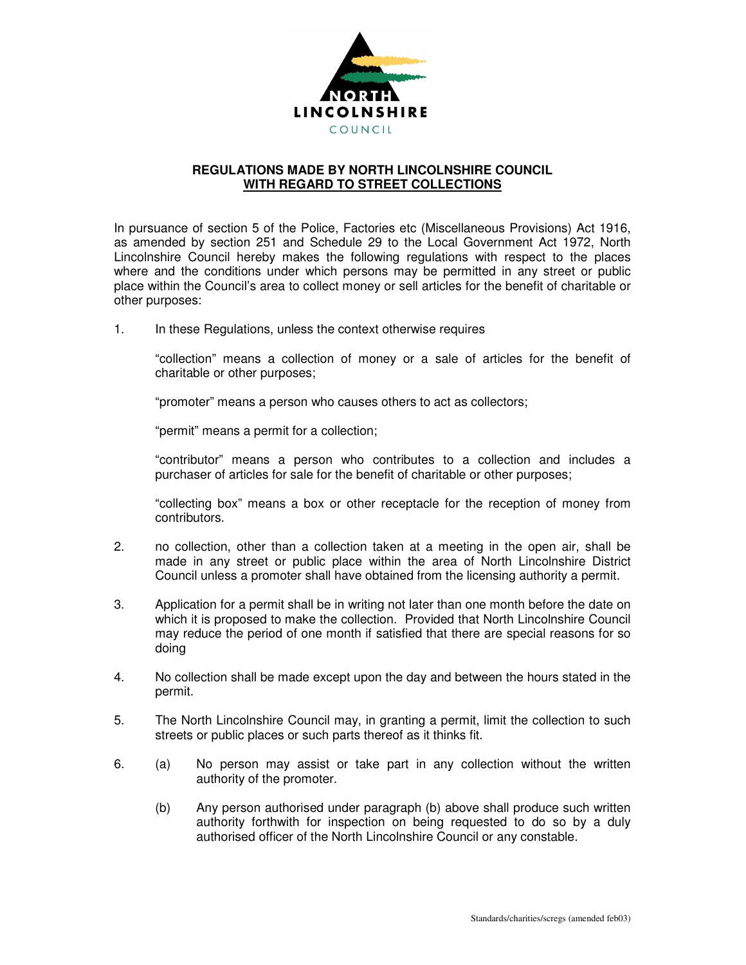

## **REGULATIONS MADE BY NORTH LINCOLNSHIRE COUNCIL WITH REGARD TO STREET COLLECTIONS**

In pursuance of section 5 of the Police, Factories etc (Miscellaneous Provisions) Act 1916, as amended by section 251 and Schedule 29 to the Local Government Act 1972, North Lincolnshire Council hereby makes the following regulations with respect to the places where and the conditions under which persons may be permitted in any street or public place within the Council's area to collect money or sell articles for the benefit of charitable or other purposes:

1. In these Regulations, unless the context otherwise requires

"collection" means a collection of money or a sale of articles for the benefit of charitable or other purposes;

"promoter" means a person who causes others to act as collectors;

"permit" means a permit for a collection;

"contributor" means a person who contributes to a collection and includes a purchaser of articles for sale for the benefit of charitable or other purposes;

"collecting box" means a box or other receptacle for the reception of money from contributors.

- 2. no collection, other than a collection taken at a meeting in the open air, shall be made in any street or public place within the area of North Lincolnshire District Council unless a promoter shall have obtained from the licensing authority a permit.
- 3. Application for a permit shall be in writing not later than one month before the date on which it is proposed to make the collection. Provided that North Lincolnshire Council may reduce the period of one month if satisfied that there are special reasons for so doing
- 4. No collection shall be made except upon the day and between the hours stated in the permit.
- 5. The North Lincolnshire Council may, in granting a permit, limit the collection to such streets or public places or such parts thereof as it thinks fit.
- 6. (a) No person may assist or take part in any collection without the written authority of the promoter.
	- (b) Any person authorised under paragraph (b) above shall produce such written authority forthwith for inspection on being requested to do so by a duly authorised officer of the North Lincolnshire Council or any constable.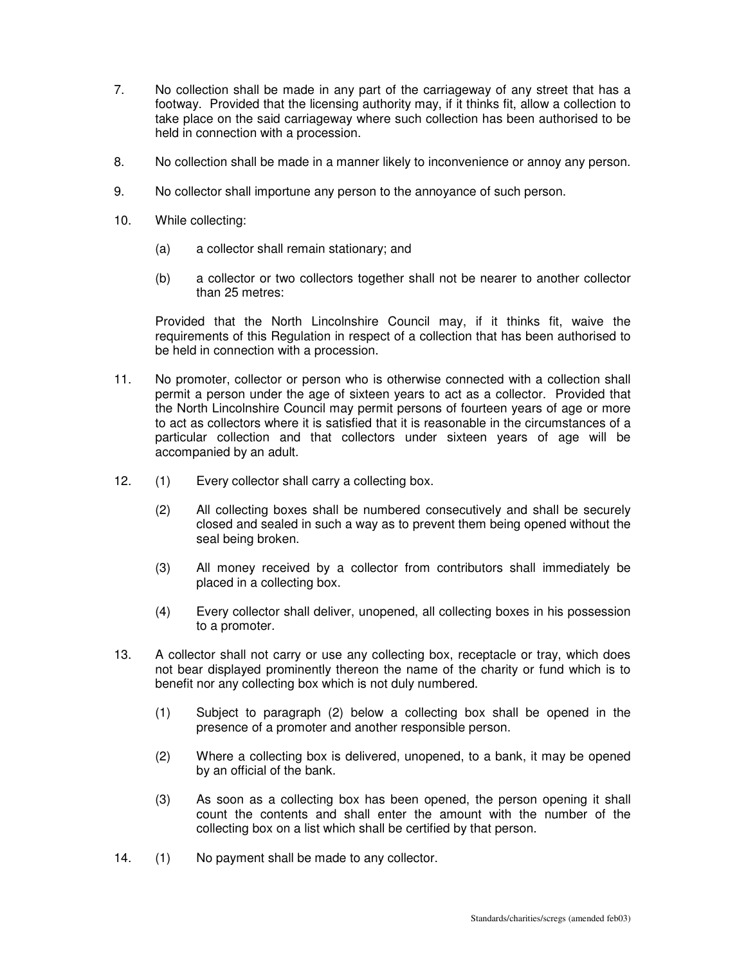- 7. No collection shall be made in any part of the carriageway of any street that has a footway. Provided that the licensing authority may, if it thinks fit, allow a collection to take place on the said carriageway where such collection has been authorised to be held in connection with a procession.
- 8. No collection shall be made in a manner likely to inconvenience or annoy any person.
- 9. No collector shall importune any person to the annoyance of such person.
- 10. While collecting:
	- (a) a collector shall remain stationary; and
	- (b) a collector or two collectors together shall not be nearer to another collector than 25 metres:

Provided that the North Lincolnshire Council may, if it thinks fit, waive the requirements of this Regulation in respect of a collection that has been authorised to be held in connection with a procession.

- 11. No promoter, collector or person who is otherwise connected with a collection shall permit a person under the age of sixteen years to act as a collector. Provided that the North Lincolnshire Council may permit persons of fourteen years of age or more to act as collectors where it is satisfied that it is reasonable in the circumstances of a particular collection and that collectors under sixteen years of age will be accompanied by an adult.
- 12. (1) Every collector shall carry a collecting box.
	- (2) All collecting boxes shall be numbered consecutively and shall be securely closed and sealed in such a way as to prevent them being opened without the seal being broken.
	- (3) All money received by a collector from contributors shall immediately be placed in a collecting box.
	- (4) Every collector shall deliver, unopened, all collecting boxes in his possession to a promoter.
- 13. A collector shall not carry or use any collecting box, receptacle or tray, which does not bear displayed prominently thereon the name of the charity or fund which is to benefit nor any collecting box which is not duly numbered.
	- (1) Subject to paragraph (2) below a collecting box shall be opened in the presence of a promoter and another responsible person.
	- (2) Where a collecting box is delivered, unopened, to a bank, it may be opened by an official of the bank.
	- (3) As soon as a collecting box has been opened, the person opening it shall count the contents and shall enter the amount with the number of the collecting box on a list which shall be certified by that person.
- 14. (1) No payment shall be made to any collector.